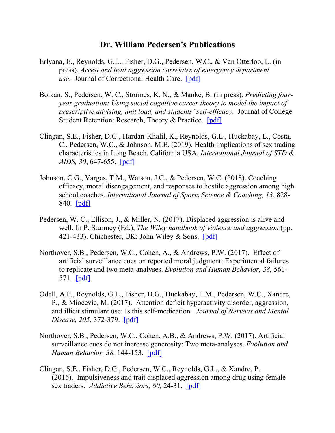## **Dr. William Pedersen's Publications**

- Erlyana, E., Reynolds, G.L., Fisher, D.G., Pedersen, W.C., & Van Otterloo, L. (in press). *Arrest and trait aggression correlates of emergency department use*. Journal of Correctional Health Care. [\[pdf\]](http://web.csulb.edu/%7Epsych/deptinfo/faculty/pedersen/pdf/Arrestandtraitaggressioncorrelatesofemergencydepartmentuse9inpress).pdf)
- Bolkan, S., Pedersen, W. C., Stormes, K. N., & Manke, B. (in press). *Predicting fouryear graduation: Using social cognitive career theory to model the impact of prescriptive advising, unit load, and students' self-efficacy*. Journal of College Student Retention: Research, Theory & Practice. [\[pdf\]](http://web.csulb.edu/%7Epsych/deptinfo/faculty/pedersen/pdf/Predicting%204-Year%20Graduation(inpress).pdf)
- Clingan, S.E., Fisher, D.G., Hardan-Khalil, K., Reynolds, G.L., Huckabay, L., Costa, C., Pedersen, W.C., & Johnson, M.E. (2019). Health implications of sex trading characteristics in Long Beach, California USA. *International Journal of STD & AIDS, 30*, 647-655. [\[pdf\]](http://web.csulb.edu/%7Epsych/deptinfo/faculty/pedersen/pdf/Healthimplicationsofsextradingcharacteristics2019.pdf)
- Johnson, C.G., Vargas, T.M., Watson, J.C., & Pedersen, W.C. (2018). Coaching efficacy, moral disengagement, and responses to hostile aggression among high school coaches. *International Journal of Sports Science & Coaching, 13*, 828- 840. [\[pdf\]](http://web.csulb.edu/%7Epsych/deptinfo/faculty/pedersen/pdf/Coachingefficacy,moraldisengagement,andresponsestohostileaggression2013.pdf)
- Pedersen, W. C., Ellison, J., & Miller, N. (2017). Displaced aggression is alive and well. In P. Sturmey (Ed.), *The Wiley handbook of violence and aggression* (pp. 421-433). Chichester, UK: John Wiley & Sons.  $[pdf]$
- Northover, S.B., Pedersen, W.C., Cohen, A., & Andrews, P.W. (2017). Effect of artificial surveillance cues on reported moral judgment: Experimental failures to replicate and two meta-analyses. *Evolution and Human Behavior, 38,* 561- 571. [\[pdf\]](http://web.csulb.edu/%7Epsych/deptinfo/faculty/pedersen/pdf/Artificialsurveillancecues&moraljudgment2017.pdf)
- Odell, A.P., Reynolds, G.L., Fisher, D.G., Huckabay, L.M., Pedersen, W.C., Xandre, P., & Miocevic, M. (2017). Attention deficit hyperactivity disorder, aggression, and illicit stimulant use: Is this self-medication. *Journal of Nervous and Mental Disease, 205,* 372-379. [\[pdf\]](http://web.csulb.edu/%7Epsych/deptinfo/faculty/pedersen/pdf/ADHDAggressionStimulantUse2017.pdf)
- Northover, S.B., Pedersen, W.C., Cohen, A.B., & Andrews, P.W. (2017). Artificial surveillance cues do not increase generosity: Two meta-analyses. *Evolution and Human Behavior, 38,* 144-153. [\[pdf\]](http://web.csulb.edu/%7Epsych/deptinfo/faculty/pedersen/pdf/ArtificialSurveillanceCuesAndGenerosity2017.pdf)
- Clingan, S.E., Fisher, D.G., Pedersen, W.C., Reynolds, G.L., & Xandre, P. (2016). Impulsiveness and trait displaced aggression among drug using female sex traders. *Addictive Behaviors, 60,* 24-31. [\[pdf\]](http://web.csulb.edu/%7Epsych/deptinfo/faculty/pedersen/pdf/DrugUsingFemaleSexTraders2016.pdf)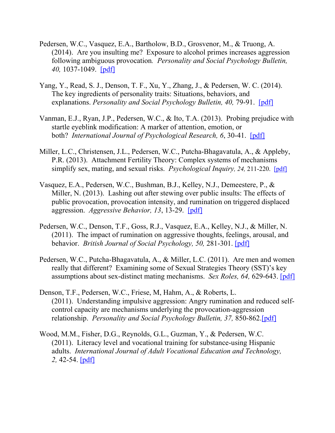- Pedersen, W.C., Vasquez, E.A., Bartholow, B.D., Grosvenor, M., & Truong, A. (2014). Are you insulting me? Exposure to alcohol primes increases aggression following ambiguous provocation*. Personality and Social Psychology Bulletin, 40,* 1037-1049. [\[pdf\]](http://www.csulb.edu/%7Epsych/deptinfo/faculty/pedersen/pdf/AlcoholPriming2014.pdf)
- Yang, Y., Read, S. J., Denson, T. F., Xu, Y., Zhang, J., & Pedersen, W. C. (2014). The key ingredients of personality traits: Situations, behaviors, and explanations. *Personality and Social Psychology Bulletin, 40,* 79-91. [\[pdf\]](http://www.csulb.edu/%7Epsych/deptinfo/faculty/pedersen/pdf/KeyIngredientsOfPersonalityTraits2014.pdf)
- Vanman, E.J., Ryan, J.P., Pedersen, W.C., & Ito, T.A. (2013). Probing prejudice with startle eyeblink modification: A marker of attention, emotion, or both? *International Journal of Psychological Research, 6*, 30-41. [\[pdf\]](http://www.csulb.edu/%7Epsych/deptinfo/faculty/pedersen/pdf/PrejudiceStartleEyeblink(2013).pdf)
- Miller, L.C., Christensen, J.L., Pedersen, W.C., Putcha-Bhagavatula, A., & Appleby, P.R. (2013). Attachment Fertility Theory: Complex systems of mechanisms simplify sex, mating, and sexual risks. *Psychological Inquiry, 24,* 211-220. [\[pdf\]](http://www.csulb.edu/%7Epsych/deptinfo/faculty/pedersen/pdf/AttachmentFertilityTheory2013.pdf)
- Vasquez, E.A., Pedersen, W.C., Bushman, B.J., Kelley, N.J., Demeestere, P., & Miller, N. (2013). Lashing out after stewing over public insults: The effects of public provocation, provocation intensity, and rumination on triggered displaced aggression. *Aggressive Behavior, 13*, 13-29. [\[pdf\]](http://www.csulb.edu/%7Epsych/deptinfo/faculty/pedersen/pdf/PublicProvocationProvocationIntensityRuminationAndTDA2013.pdf)
- Pedersen, W.C., Denson, T.F., Goss, R.J., Vasquez, E.A., Kelley, N.J., & Miller, N. (2011). The impact of rumination on aggressive thoughts, feelings, arousal, and behavior. *British Journal of Social Psychology, 50,* 281-301. [\[pdf\]](http://www.csulb.edu/%7Epsych/deptinfo/faculty/pedersen/pdf/RuminationProcess2011.pdf)
- Pedersen, W.C., Putcha-Bhagavatula, A., & Miller, L.C. (2011). Are men and women really that different? Examining some of Sexual Strategies Theory (SST)'s key assumptions about sex-distinct mating mechanisms. *Sex Roles, 64,* 629-643. [\[pdf\]](http://www.csulb.edu/%7Epsych/deptinfo/faculty/pedersen/pdf/AreMenAndWomenReallyThatDifferent2011.pdf)
- Denson, T.F., Pedersen, W.C., Friese, M, Hahm, A., & Roberts, L. (2011). Understanding impulsive aggression: Angry rumination and reduced selfcontrol capacity are mechanisms underlying the provocation-aggression relationship. *Personality and Social Psychology Bulletin, 37,* 850-862[.\[pdf\]](http://www.csulb.edu/%7Epsych/deptinfo/faculty/pedersen/pdf/RuminationSelf-ControlAndAggression2011.pdf)
- Wood, M.M., Fisher, D.G., Reynolds, G.L., Guzman, Y., & Pedersen, W.C. (2011). Literacy level and vocational training for substance-using Hispanic adults. *International Journal of Adult Vocational Education and Technology, 2,* 42-54. [\[pdf\]](http://www.csulb.edu/%7Epsych/deptinfo/faculty/pedersen/pdf/LiteracyLevelForSubstance-usingHispanicAdults2011.pdf)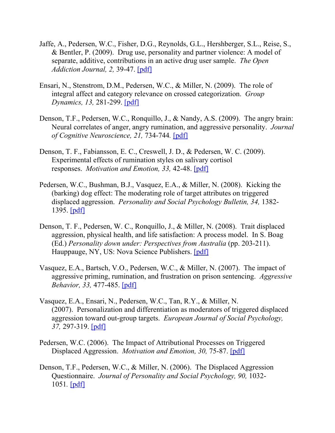- Jaffe, A., Pedersen, W.C., Fisher, D.G., Reynolds, G.L., Hershberger, S.L., Reise, S., & Bentler, P. (2009). Drug use, personality and partner violence: A model of separate, additive, contributions in an active drug user sample. *The Open Addiction Journal, 2,* 39-47. [\[pdf\]](http://www.csulb.edu/%7Epsych/deptinfo/faculty/pedersen/pdf/DrugUsePersonalityAndPartnerViolence2009.pdf)
- Ensari, N., Stenstrom, D.M., Pedersen, W.C., & Miller, N. (2009). The role of integral affect and category relevance on crossed categorization. *Group Dynamics, 13,* 281-299. [\[pdf\]](http://www.csulb.edu/%7Epsych/deptinfo/faculty/pedersen/pdf/AffectRelevanceAndCrossedCategorization2009.pdf)
- Denson, T.F., Pedersen, W.C., Ronquillo, J., & Nandy, A.S. (2009). The angry brain: Neural correlates of anger, angry rumination, and aggressive personality. *Journal of Cognitive Neuroscience, 21,* 734-744*.* [\[pdf\]](http://www.csulb.edu/%7Epsych/deptinfo/faculty/pedersen/pdf/AngryBrainCognitiveNeuroscience2009.pdf)
- Denson, T. F., Fabiansson, E. C., Creswell, J. D., & Pedersen, W. C. (2009). Experimental effects of rumination styles on salivary cortisol responses. *Motivation and Emotion, 33,* 42-48. [\[pdf\]](http://www.csulb.edu/%7Epsych/deptinfo/faculty/pedersen/pdf/RuminationAndCortisol2009.pdf)
- Pedersen, W.C., Bushman, B.J., Vasquez, E.A., & Miller, N. (2008). Kicking the (barking) dog effect: The moderating role of target attributes on triggered displaced aggression. *Personality and Social Psychology Bulletin, 34,* 1382- 1395. [\[pdf\]](http://www.csulb.edu/%7Epsych/deptinfo/faculty/pedersen/pdf/TargetAttributesAndTDA2008.pdf)
- Denson, T. F., Pedersen, W. C., Ronquillo, J., & Miller, N. (2008). Trait displaced aggression, physical health, and life satisfaction: A process model. In S. Boag (Ed.) *Personality down under: Perspectives from Australia* (pp. 203-211). Hauppauge, NY, US: Nova Science Publishers. [\[pdf\]](http://www.csulb.edu/%7Epsych/deptinfo/faculty/pedersen/pdf/DAQandHealthBookChapter2008.pdf)
- Vasquez, E.A., Bartsch, V.O., Pedersen, W.C., & Miller, N. (2007). The impact of aggressive priming, rumination, and frustration on prison sentencing. *Aggressive Behavior, 33,* 477-485. [\[pdf\]](http://www.csulb.edu/%7Epsych/deptinfo/faculty/pedersen/pdf/PrimingRuminationAndFrustrationOnPrisonSentencing2007.pdf)
- Vasquez, E.A., Ensari, N., Pedersen, W.C., Tan, R.Y., & Miller, N. (2007). Personalization and differentiation as moderators of triggered displaced aggression toward out-group targets. *European Journal of Social Psychology, 37,* 297-319. [\[pdf\]](http://www.csulb.edu/%7Epsych/deptinfo/faculty/pedersen/pdf/PersonalizationAndTDA2007.pdf)
- Pedersen, W.C. (2006). The Impact of Attributional Processes on Triggered Displaced Aggression. *Motivation and Emotion, 30,* 75-87. [\[pdf\]](http://www.csulb.edu/%7Epsych/deptinfo/faculty/pedersen/pdf/AttributionAndTDA2006.pdf)
- Denson, T.F., Pedersen, W.C., & Miller, N. (2006). The Displaced Aggression Questionnaire. *Journal of Personality and Social Psychology, 90,* 1032- 1051*.* [\[pdf\]](http://www.csulb.edu/%7Epsych/deptinfo/faculty/pedersen/pdf/DisplacedAggressionQuestionnaire(DAQ)2006.pdf)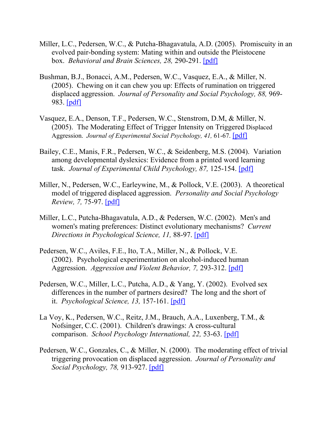- Miller, L.C., Pedersen, W.C., & Putcha-Bhagavatula, A.D. (2005). Promiscuity in an evolved pair-bonding system: Mating within and outside the Pleistocene box. *Behavioral and Brain Sciences, 28,* 290-291. [\[pdf\]](http://www.csulb.edu/%7Epsych/deptinfo/faculty/pedersen/pdf/PromiscuityInPair-bonding2005.pdf)
- Bushman, B.J., Bonacci, A.M., Pedersen, W.C., Vasquez, E.A., & Miller, N. (2005). Chewing on it can chew you up: Effects of rumination on triggered displaced aggression. *Journal of Personality and Social Psychology, 88,* 969- 983. [\[pdf\]](http://www.csulb.edu/%7Epsych/deptinfo/faculty/pedersen/pdf/RuminationAndTDA2005.pdf)
- Vasquez, E.A., Denson, T.F., Pedersen, W.C., Stenstrom, D.M, & Miller, N. (2005). The Moderating Effect of Trigger Intensity on Triggered Displaced Aggression. *Journal of Experimental Social Psychology, 41,* 61-67. [\[pdf\]](http://www.csulb.edu/%7Epsych/deptinfo/faculty/pedersen/pdf/2005TriggerIntensityAndTDA.pdf)
- Bailey, C.E., Manis, F.R., Pedersen, W.C., & Seidenberg, M.S. (2004). Variation among developmental dyslexics: Evidence from a printed word learning task. *Journal of Experimental Child Psychology, 87,* 125-154. [\[pdf\]](http://www.csulb.edu/%7Epsych/deptinfo/faculty/pedersen/pdf/VariationAmongDevelopmentalDyslexics2004.pdf)
- Miller, N., Pedersen, W.C., Earleywine, M., & Pollock, V.E. (2003). A theoretical model of triggered displaced aggression. *Personality and Social Psychology Review, 7,* 75-97. [\[pdf\]](http://www.csulb.edu/%7Epsych/deptinfo/faculty/pedersen/pdf/TheoreticalModelOfTDA2003.pdf)
- Miller, L.C., Putcha-Bhagavatula, A.D., & Pedersen, W.C. (2002). Men's and women's mating preferences: Distinct evolutionary mechanisms? *Current Directions in Psychological Science, 11,* 88-97. [\[pdf\]](http://www.csulb.edu/%7Epsych/deptinfo/faculty/pedersen/pdf/MatingPreferencesDistinctEvolutionaryMechanisms2002.pdf)
- Pedersen, W.C., Aviles, F.E., Ito, T.A., Miller, N., & Pollock, V.E. (2002). Psychological experimentation on alcohol-induced human Aggression. *Aggression and Violent Behavior, 7,* 293-312. [\[pdf\]](http://www.csulb.edu/%7Epsych/deptinfo/faculty/pedersen/pdf/Alcohol-inducedHumanAggression2002.pdf)
- Pedersen, W.C., Miller, L.C., Putcha, A.D., & Yang, Y. (2002). Evolved sex differences in the number of partners desired? The long and the short of it. *Psychological Science, 13,* 157-161. [\[pdf\]](http://www.csulb.edu/%7Epsych/deptinfo/faculty/pedersen/pdf/EvolvedSexDifferences2002.pdf)
- La Voy, K., Pedersen, W.C., Reitz, J.M., Brauch, A.A., Luxenberg, T.M., & Nofsinger, C.C. (2001). Children's drawings: A cross-cultural comparison. *School Psychology International, 22,* 53-63. [\[pdf\]](http://www.csulb.edu/%7Epsych/deptinfo/faculty/pedersen/pdf/ChildrensDrawingsACrossCulturalAnalysis2001.pdf)
- Pedersen, W.C., Gonzales, C., & Miller, N. (2000). The moderating effect of trivial triggering provocation on displaced aggression. *Journal of Personality and Social Psychology, 78,* 913-927. [\[pdf\]](http://www.csulb.edu/%7Epsych/deptinfo/faculty/pedersen/pdf/OriginalTriggeredDisplacedAggression2000.pdf)